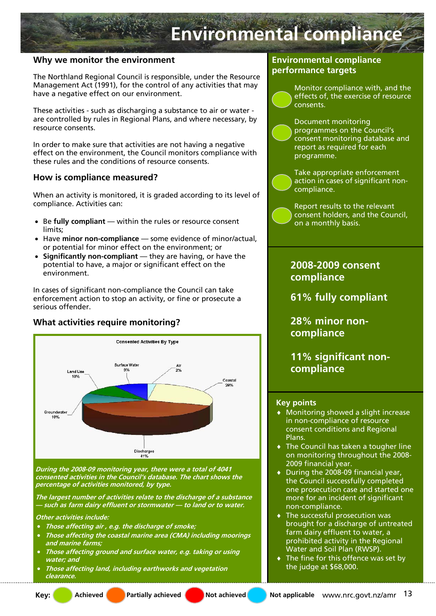# **Environmental compliance**

## **Why we monitor the environment**

The Northland Regional Council is responsible, under the Resource Management Act (1991), for the control of any activities that may have a negative effect on our environment.

These activities - such as discharging a substance to air or water are controlled by rules in Regional Plans, and where necessary, by resource consents.

In order to make sure that activities are not having a negative effect on the environment, the Council monitors compliance with these rules and the conditions of resource consents.

### **How is compliance measured?**

When an activity is monitored, it is graded according to its level of compliance. Activities can:

- Be **fully compliant**  within the rules or resource consent limits;
- Have **minor non-compliance**  some evidence of minor/actual, or potential for minor effect on the environment; or
- **Significantly non-compliant** they are having, or have the potential to have, a major or significant effect on the environment.

In cases of significant non-compliance the Council can take enforcement action to stop an activity, or fine or prosecute a serious offender.

## **What activities require monitoring?**



**During the 2008-09 monitoring year, there were a total of 4041 consented activities in the Council's database. The chart shows the percentage of activities monitored, by type.** 

**The largest number of activities relate to the discharge of a substance — such as farm dairy effluent or stormwater — to land or to water.** 

**Other activities include:** 

- **Those affecting air , e.g. the discharge of smoke;**
- **Those affecting the coastal marine area (CMA) including moorings and marine farms;**
- **Those affecting ground and surface water, e.g. taking or using water; and**
- **Those affecting land, including earthworks and vegetation clearance.**

## **Environmental compliance performance targets**

Monitor compliance with, and the effects of, the exercise of resource consents.

Document monitoring programmes on the Council's consent monitoring database and report as required for each programme.

Take appropriate enforcement action in cases of significant noncompliance.

Report results to the relevant consent holders, and the Council, on a monthly basis.

## **2008-2009 consent compliance**

**61% fully compliant** 

**28% minor noncompliance** 

**11% significant noncompliance** 

#### **Key points**

- ♦ Monitoring showed a slight increase in non-compliance of resource consent conditions and Regional Plans.
- ♦ The Council has taken a tougher line on monitoring throughout the 2008- 2009 financial year.
- ♦ During the 2008-09 financial year, the Council successfully completed one prosecution case and started one more for an incident of significant non-compliance.
- ♦ The successful prosecution was brought for a discharge of untreated farm dairy effluent to water, a prohibited activity in the Regional Water and Soil Plan (RWSP).
- ♦ The fine for this offence was set by the judge at \$68,000.